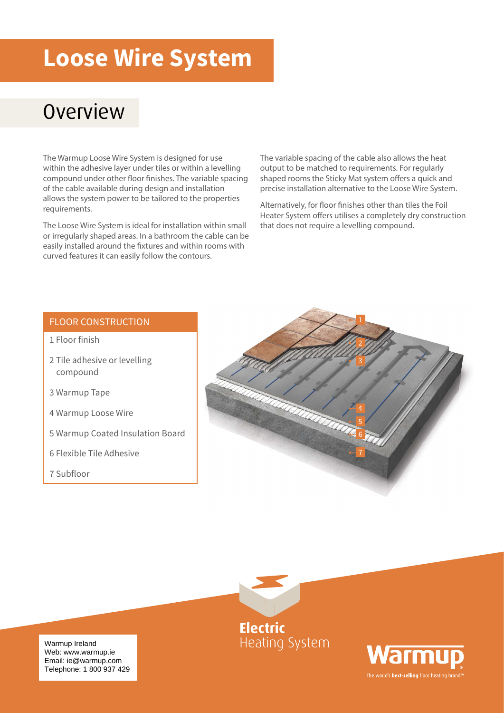### **Loose Wire System**

#### **Overview**

The Warmup Loose Wire System is designed for use within the adhesive layer under tiles or within a levelling compound under other floor finishes. The variable spacing of the cable available during design and installation allows the system power to be tailored to the properties requirements.

The Loose Wire System is ideal for installation within small or irregularly shaped areas. In a bathroom the cable can be easily installed around the fixtures and within rooms with curved features it can easily follow the contours.

The variable spacing of the cable also allows the heat output to be matched to requirements. For regularly shaped rooms the Sticky Mat system offers a quick and precise installation alternative to the Loose Wire System.

Alternatively, for floor finishes other than tiles the Foil Heater System offers utilises a completely dry construction that does not require a levelling compound.

#### FLOOR CONSTRUCTION

- 1 Floor finish
- 2 Tile adhesive or levelling compound
- 3 Warmup Tape
- 4 Warmup Loose Wire
- 5 Warmup Coated Insulation Board
- 6 Flexible Tile Adhesive
- 7 Subfloor





Warmup Ireland<br>Web: www.warmup.ie uk@warmup.com Email: ie@warmup.com Telephone: 1 800 937 429 Warmup Ireland

**Electric Heating System** 

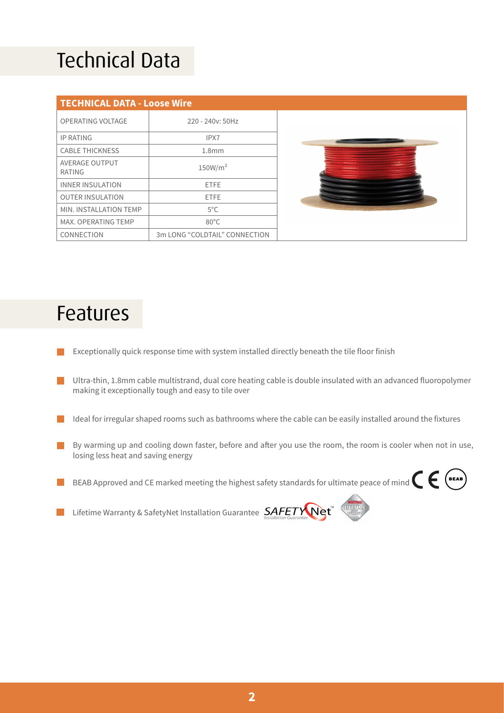## Technical Data

| <b>TECHNICAL DATA - Loose Wire</b> |                               |  |  |  |  |  |
|------------------------------------|-------------------------------|--|--|--|--|--|
| OPERATING VOLTAGE                  | 220 - 240y: 50Hz              |  |  |  |  |  |
| <b>IP RATING</b>                   | IPX7                          |  |  |  |  |  |
| <b>CABLE THICKNESS</b>             | 1.8 <sub>mm</sub>             |  |  |  |  |  |
| AVERAGE OUTPUT<br>RATING           | 150W/m <sup>2</sup>           |  |  |  |  |  |
| INNER INSULATION                   | <b>FTFF</b>                   |  |  |  |  |  |
| <b>OUTER INSULATION</b>            | <b>FTFF</b>                   |  |  |  |  |  |
| MIN. INSTALLATION TEMP             | $5^{\circ}$ C                 |  |  |  |  |  |
| MAX. OPERATING TEMP                | $80^{\circ}$ C                |  |  |  |  |  |
| CONNECTION                         | 3m LONG "COLDTAIL" CONNECTION |  |  |  |  |  |



#### Features

- Exceptionally quick response time with system installed directly beneath the tile floor finish
- Ultra-thin, 1.8mm cable multistrand, dual core heating cable is double insulated with an advanced fluoropolymer making it exceptionally tough and easy to tile over
- Ideal for irregular shaped rooms such as bathrooms where the cable can be easily installed around the fixtures l I
- By warming up and cooling down faster, before and after you use the room, the room is cooler when not in use, **Contract** losing less heat and saving energy
- BEAB Approved and CE marked meeting the highest safety standards for ultimate peace of mind  $\epsilon$   $\epsilon$   $\epsilon$
- Lifetime Warranty & SafetyNet Installation Guarantee  $\mathcal{S}\!\!\mathcal{A}\!\!\mathit{F}\!\!\mathcal{E}\!\!\mathcal{T}\mathcal{W}\!\!\mathcal{N}\!\!\mathsf{e}\!\!\mathbf{t}^*$  $\mathbb{R}^n$

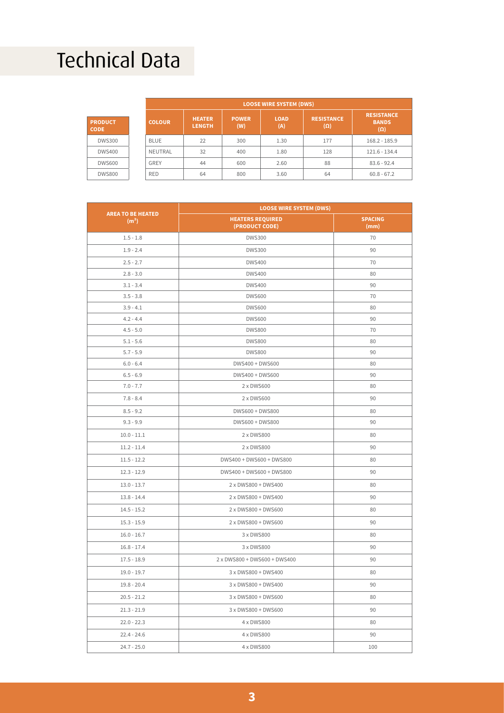## Technical Data

|                               | <b>LOOSE WIRE SYSTEM (DWS)</b> |                                |                     |                    |                                 |                                                 |  |
|-------------------------------|--------------------------------|--------------------------------|---------------------|--------------------|---------------------------------|-------------------------------------------------|--|
| <b>PRODUCT</b><br><b>CODE</b> | <b>COLOUR</b>                  | <b>HEATER</b><br><b>LENGTH</b> | <b>POWER</b><br>(W) | <b>LOAD</b><br>(A) | <b>RESISTANCE</b><br>$(\Omega)$ | <b>RESISTANCE</b><br><b>BANDS</b><br>$(\Omega)$ |  |
| <b>DWS300</b>                 | <b>BLUE</b>                    | 22                             | 300                 | 1.30               | 177                             | $168.2 - 185.9$                                 |  |
| <b>DWS400</b>                 | NEUTRAL                        | 32                             | 400                 | 1.80               | 128                             | 121.6 - 134.4                                   |  |
| <b>DWS600</b>                 | GREY                           | 44                             | 600                 | 2.60               | 88                              | $83.6 - 92.4$                                   |  |
| <b>DWS800</b>                 | <b>RED</b>                     | 64                             | 800                 | 3.60               | 64                              | $60.8 - 67.2$                                   |  |

|                                               | <b>LOOSE WIRE SYSTEM (DWS)</b>            |                        |  |  |  |
|-----------------------------------------------|-------------------------------------------|------------------------|--|--|--|
| <b>AREA TO BE HEATED</b><br>(m <sup>2</sup> ) | <b>HEATERS REQUIRED</b><br>(PRODUCT CODE) | <b>SPACING</b><br>(mm) |  |  |  |
| $1.5 - 1.8$                                   | <b>DWS300</b>                             | 70                     |  |  |  |
| $1.9 - 2.4$                                   | <b>DWS300</b>                             | 90                     |  |  |  |
| $2.5 - 2.7$                                   | <b>DWS400</b>                             | 70                     |  |  |  |
| $2.8 - 3.0$                                   | <b>DWS400</b>                             | 80                     |  |  |  |
| $3.1 - 3.4$                                   | <b>DWS400</b>                             | 90                     |  |  |  |
| $3.5 - 3.8$                                   | <b>DWS600</b>                             | 70                     |  |  |  |
| $3.9 - 4.1$                                   | <b>DWS600</b>                             | 80                     |  |  |  |
| $4.2 - 4.4$                                   | <b>DWS600</b>                             | 90                     |  |  |  |
| $4.5 - 5.0$                                   | <b>DWS800</b>                             | 70                     |  |  |  |
| $5.1 - 5.6$                                   | <b>DWS800</b>                             | 80                     |  |  |  |
| $5.7 - 5.9$                                   | <b>DWS800</b>                             | 90                     |  |  |  |
| $6.0 - 6.4$                                   | DWS400 + DWS600                           | 80                     |  |  |  |
| $6.5 - 6.9$                                   | DWS400 + DWS600                           | 90                     |  |  |  |
| $7.0 - 7.7$                                   | 2 x DWS600                                | 80                     |  |  |  |
| $7.8 - 8.4$                                   | 2 x DWS600                                | 90                     |  |  |  |
| $8.5 - 9.2$                                   | DWS600 + DWS800                           | 80                     |  |  |  |
| $9.3 - 9.9$                                   | DWS600 + DWS800                           | 90                     |  |  |  |
| $10.0 - 11.1$                                 | 2 x DWS800                                | 80                     |  |  |  |
| $11.2 - 11.4$                                 | 2 x DWS800                                | 90                     |  |  |  |
| $11.5 - 12.2$                                 | DWS400 + DWS600 + DWS800                  | 80                     |  |  |  |
| $12.3 - 12.9$                                 | DWS400 + DWS600 + DWS800                  | 90                     |  |  |  |
| $13.0 - 13.7$                                 | 2 x DWS800 + DWS400                       | 80                     |  |  |  |
| $13.8 - 14.4$                                 | 2 x DWS800 + DWS400                       | 90                     |  |  |  |
| $14.5 - 15.2$                                 | 2 x DWS800 + DWS600                       | 80                     |  |  |  |
| $15.3 - 15.9$                                 | 2 x DWS800 + DWS600                       | 90                     |  |  |  |
| $16.0 - 16.7$                                 | 3 x DWS800                                | 80                     |  |  |  |
| $16.8 - 17.4$                                 | 3 x DWS800                                | 90                     |  |  |  |
| $17.5 - 18.9$                                 | 2 x DWS800 + DWS600 + DWS400              | 90                     |  |  |  |
| $19.0 - 19.7$                                 | 3 x DWS800 + DWS400                       | 80                     |  |  |  |
| $19.8 - 20.4$                                 | 3 x DWS800 + DWS400                       | 90                     |  |  |  |
| $20.5 - 21.2$                                 | 3 x DWS800 + DWS600                       | 80                     |  |  |  |
| $21.3 - 21.9$                                 | 3 x DWS800 + DWS600                       | 90                     |  |  |  |
| $22.0 - 22.3$                                 | 4 x DWS800                                | 80                     |  |  |  |
| 22.4 - 24.6                                   | 4 x DWS800                                | 90                     |  |  |  |
| $24.7 - 25.0$                                 | 4 x DWS800                                | 100                    |  |  |  |